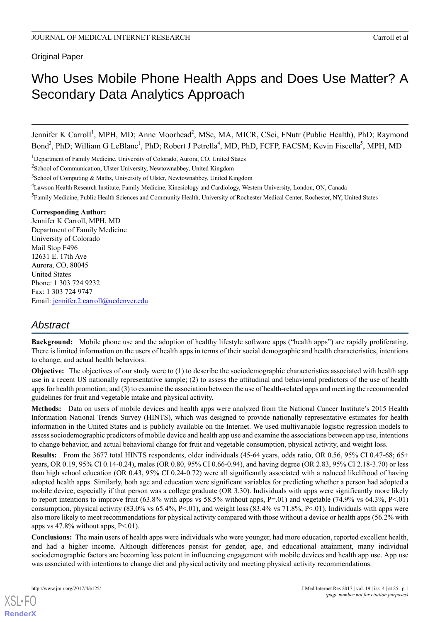#### **Original Paper**

# Who Uses Mobile Phone Health Apps and Does Use Matter? A Secondary Data Analytics Approach

Jennifer K Carroll<sup>1</sup>, MPH, MD; Anne Moorhead<sup>2</sup>, MSc, MA, MICR, CSci, FNutr (Public Health), PhD; Raymond Bond<sup>3</sup>, PhD; William G LeBlanc<sup>1</sup>, PhD; Robert J Petrella<sup>4</sup>, MD, PhD, FCFP, FACSM; Kevin Fiscella<sup>5</sup>, MPH, MD

<sup>1</sup>Department of Family Medicine, University of Colorado, Aurora, CO, United States

<sup>2</sup>School of Communication, Ulster University, Newtownabbey, United Kingdom

- <sup>4</sup>Lawson Health Research Institute, Family Medicine, Kinesiology and Cardiology, Western University, London, ON, Canada
- <sup>5</sup> Family Medicine, Public Health Sciences and Community Health, University of Rochester Medical Center, Rochester, NY, United States

#### **Corresponding Author:**

Jennifer K Carroll, MPH, MD Department of Family Medicine University of Colorado Mail Stop F496 12631 E. 17th Ave Aurora, CO, 80045 United States Phone: 1 303 724 9232 Fax: 1 303 724 9747 Email: [jennifer.2.carroll@ucdenver.edu](mailto:jennifer.2.carroll@ucdenver.edu)

# *Abstract*

**Background:** Mobile phone use and the adoption of healthy lifestyle software apps ("health apps") are rapidly proliferating. There is limited information on the users of health apps in terms of their social demographic and health characteristics, intentions to change, and actual health behaviors.

**Objective:** The objectives of our study were to (1) to describe the sociodemographic characteristics associated with health app use in a recent US nationally representative sample; (2) to assess the attitudinal and behavioral predictors of the use of health apps for health promotion; and (3) to examine the association between the use of health-related apps and meeting the recommended guidelines for fruit and vegetable intake and physical activity.

**Methods:** Data on users of mobile devices and health apps were analyzed from the National Cancer Institute's 2015 Health Information National Trends Survey (HINTS), which was designed to provide nationally representative estimates for health information in the United States and is publicly available on the Internet. We used multivariable logistic regression models to assess sociodemographic predictors of mobile device and health app use and examine the associations between app use, intentions to change behavior, and actual behavioral change for fruit and vegetable consumption, physical activity, and weight loss.

**Results:** From the 3677 total HINTS respondents, older individuals (45-64 years, odds ratio, OR 0.56, 95% CI 0.47-68; 65+ years, OR 0.19, 95% CI 0.14-0.24), males (OR 0.80, 95% CI 0.66-0.94), and having degree (OR 2.83, 95% CI 2.18-3.70) or less than high school education (OR 0.43, 95% CI 0.24-0.72) were all significantly associated with a reduced likelihood of having adopted health apps. Similarly, both age and education were significant variables for predicting whether a person had adopted a mobile device, especially if that person was a college graduate (OR 3.30). Individuals with apps were significantly more likely to report intentions to improve fruit  $(63.8\%$  with apps vs 58.5% without apps, P=.01) and vegetable  $(74.9\%$  vs  $64.3\%$ , P<.01) consumption, physical activity  $(83.0\% \text{ vs } 65.4\%, P < 01)$ , and weight loss  $(83.4\% \text{ vs } 71.8\%, P < 01)$ . Individuals with apps were also more likely to meet recommendations for physical activity compared with those without a device or health apps (56.2% with apps vs  $47.8\%$  without apps, P<.01).

**Conclusions:** The main users of health apps were individuals who were younger, had more education, reported excellent health, and had a higher income. Although differences persist for gender, age, and educational attainment, many individual sociodemographic factors are becoming less potent in influencing engagement with mobile devices and health app use. App use was associated with intentions to change diet and physical activity and meeting physical activity recommendations.

[XSL](http://www.w3.org/Style/XSL)•FO **[RenderX](http://www.renderx.com/)**

<sup>&</sup>lt;sup>3</sup>School of Computing & Maths, University of Ulster, Newtownabbey, United Kingdom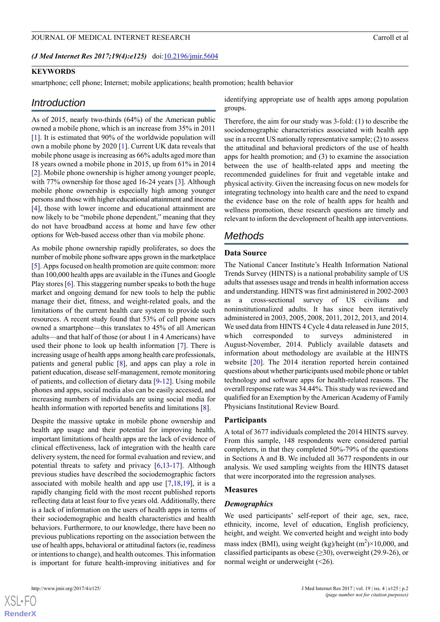#### *(J Med Internet Res 2017;19(4):e125)* doi: $10.2196/$ jmir.5604

#### **KEYWORDS**

smartphone; cell phone; Internet; mobile applications; health promotion; health behavior

#### *Introduction*

As of 2015, nearly two-thirds (64%) of the American public owned a mobile phone, which is an increase from 35% in 2011 [[1\]](#page-7-0). It is estimated that 90% of the worldwide population will own a mobile phone by 2020 [\[1](#page-7-0)]. Current UK data reveals that mobile phone usage is increasing as 66% adults aged more than 18 years owned a mobile phone in 2015, up from 61% in 2014 [[2\]](#page-7-1). Mobile phone ownership is higher among younger people, with 77% ownership for those aged 16-24 years [\[3](#page-7-2)]. Although mobile phone ownership is especially high among younger persons and those with higher educational attainment and income [[4\]](#page-7-3), those with lower income and educational attainment are now likely to be "mobile phone dependent," meaning that they do not have broadband access at home and have few other options for Web-based access other than via mobile phone.

As mobile phone ownership rapidly proliferates, so does the number of mobile phone software apps grown in the marketplace [[5\]](#page-7-4). Apps focused on health promotion are quite common: more than 100,000 health apps are available in the iTunes and Google Play stores [[6\]](#page-7-5). This staggering number speaks to both the huge market and ongoing demand for new tools to help the public manage their diet, fitness, and weight-related goals, and the limitations of the current health care system to provide such resources. A recent study found that 53% of cell phone users owned a smartphone—this translates to 45% of all American adults—and that half of those (or about 1 in 4 Americans) have used their phone to look up health information [[7](#page-7-6)]. There is increasing usage of health apps among health care professionals, patients and general public [[8](#page-7-7)], and apps can play a role in patient education, disease self-management, remote monitoring of patients, and collection of dietary data [\[9](#page-7-8)[-12](#page-7-9)]. Using mobile phones and apps, social media also can be easily accessed, and increasing numbers of individuals are using social media for health information with reported benefits and limitations [[8\]](#page-7-7).

Despite the massive uptake in mobile phone ownership and health app usage and their potential for improving health, important limitations of health apps are the lack of evidence of clinical effectiveness, lack of integration with the health care delivery system, the need for formal evaluation and review, and potential threats to safety and privacy [\[6](#page-7-5),[13](#page-7-10)[-17](#page-7-11)]. Although previous studies have described the sociodemographic factors associated with mobile health and app use [\[7](#page-7-6),[18,](#page-7-12)[19](#page-7-13)], it is a rapidly changing field with the most recent published reports reflecting data at least four to five years old. Additionally, there is a lack of information on the users of health apps in terms of their sociodemographic and health characteristics and health behaviors. Furthermore, to our knowledge, there have been no previous publications reporting on the association between the use of health apps, behavioral or attitudinal factors (ie, readiness or intentions to change), and health outcomes. This information is important for future health-improving initiatives and for

identifying appropriate use of health apps among population groups.

Therefore, the aim for our study was 3-fold: (1) to describe the sociodemographic characteristics associated with health app use in a recent US nationally representative sample; (2) to assess the attitudinal and behavioral predictors of the use of health apps for health promotion; and (3) to examine the association between the use of health-related apps and meeting the recommended guidelines for fruit and vegetable intake and physical activity. Given the increasing focus on new models for integrating technology into health care and the need to expand the evidence base on the role of health apps for health and wellness promotion, these research questions are timely and relevant to inform the development of health app interventions.

## *Methods*

#### **Data Source**

The National Cancer Institute's Health Information National Trends Survey (HINTS) is a national probability sample of US adults that assesses usage and trends in health information access and understanding. HINTS was first administered in 2002-2003 as a cross-sectional survey of US civilians and noninstitutionalized adults. It has since been iteratively administered in 2003, 2005, 2008, 2011, 2012, 2013, and 2014. We used data from HINTS 4 Cycle 4 data released in June 2015, which corresponded to surveys administered in August-November, 2014. Publicly available datasets and information about methodology are available at the HINTS website [\[20](#page-7-14)]. The 2014 iteration reported herein contained questions about whether participants used mobile phone or tablet technology and software apps for health-related reasons. The overall response rate was 34.44%. This study was reviewed and qualified for an Exemption by the American Academy of Family Physicians Institutional Review Board.

#### **Participants**

A total of 3677 individuals completed the 2014 HINTS survey. From this sample, 148 respondents were considered partial completers, in that they completed 50%-79% of the questions in Sections A and B. We included all 3677 respondents in our analysis. We used sampling weights from the HINTS dataset that were incorporated into the regression analyses.

#### **Measures**

#### *Demographics*

We used participants' self-report of their age, sex, race, ethnicity, income, level of education, English proficiency, height, and weight. We converted height and weight into body mass index (BMI), using weight (kg)/height  $(m^2) \times 10,000$ , and classified participants as obese  $(\geq 30)$ , overweight (29.9-26), or normal weight or underweight (<26).

 $XSI - F($ **[RenderX](http://www.renderx.com/)**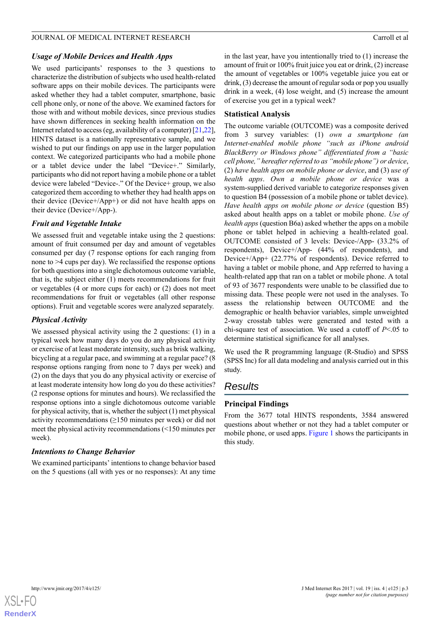#### *Usage of Mobile Devices and Health Apps*

We used participants' responses to the 3 questions to characterize the distribution of subjects who used health-related software apps on their mobile devices. The participants were asked whether they had a tablet computer, smartphone, basic cell phone only, or none of the above. We examined factors for those with and without mobile devices, since previous studies have shown differences in seeking health information on the Internet related to access (eg, availability of a computer) [\[21,](#page-7-15)[22\]](#page-8-0), HINTS dataset is a nationally representative sample, and we wished to put our findings on app use in the larger population context. We categorized participants who had a mobile phone or a tablet device under the label "Device+." Similarly, participants who did not report having a mobile phone or a tablet device were labeled "Device-." Of the Device+ group, we also categorized them according to whether they had health apps on their device (Device+/App+) or did not have health apps on their device (Device+/App-).

#### *Fruit and Vegetable Intake*

We assessed fruit and vegetable intake using the 2 questions: amount of fruit consumed per day and amount of vegetables consumed per day (7 response options for each ranging from none to >4 cups per day). We reclassified the response options for both questions into a single dichotomous outcome variable, that is, the subject either (1) meets recommendations for fruit or vegetables (4 or more cups for each) or (2) does not meet recommendations for fruit or vegetables (all other response options). Fruit and vegetable scores were analyzed separately.

## *Physical Activity*

We assessed physical activity using the 2 questions: (1) in a typical week how many days do you do any physical activity or exercise of at least moderate intensity, such as brisk walking, bicycling at a regular pace, and swimming at a regular pace? (8 response options ranging from none to 7 days per week) and (2) on the days that you do any physical activity or exercise of at least moderate intensity how long do you do these activities? (2 response options for minutes and hours). We reclassified the response options into a single dichotomous outcome variable for physical activity, that is, whether the subject (1) met physical activity recommendations  $(\geq 150$  minutes per week) or did not meet the physical activity recommendations (<150 minutes per week).

## *Intentions to Change Behavior*

We examined participants' intentions to change behavior based on the 5 questions (all with yes or no responses): At any time in the last year, have you intentionally tried to (1) increase the amount of fruit or 100% fruit juice you eat or drink, (2) increase the amount of vegetables or 100% vegetable juice you eat or drink, (3) decrease the amount of regular soda or pop you usually drink in a week, (4) lose weight, and (5) increase the amount of exercise you get in a typical week?

## **Statistical Analysis**

The outcome variable (OUTCOME) was a composite derived from 3 survey variables: (1) *own a smartphone (an Internet-enabled mobile phone "such as iPhone android BlackBerry or Windows phone" differentiated from a "basic cell phone," hereafter referred to as "mobile phone") or device*, (2) *have health apps on mobile phone or device*, and (3) *use of health apps*. *Own a mobile phone or device* was a system-supplied derived variable to categorize responses given to question B4 (possession of a mobile phone or tablet device). *Have health apps on mobile phone or device* (question B5) asked about health apps on a tablet or mobile phone. *Use of health apps* (question B6a) asked whether the apps on a mobile phone or tablet helped in achieving a health-related goal. OUTCOME consisted of 3 levels: Device-/App- (33.2% of respondents), Device+/App- (44% of respondents), and Device+/App+ (22.77% of respondents). Device referred to having a tablet or mobile phone, and App referred to having a health-related app that ran on a tablet or mobile phone. A total of 93 of 3677 respondents were unable to be classified due to missing data. These people were not used in the analyses. To assess the relationship between OUTCOME and the demographic or health behavior variables, simple unweighted 2-way crosstab tables were generated and tested with a chi-square test of association. We used a cutoff of *P*<.05 to determine statistical significance for all analyses.

We used the R programming language (R-Studio) and SPSS (SPSS Inc) for all data modeling and analysis carried out in this study.

# *Results*

## **Principal Findings**

From the 3677 total HINTS respondents, 3584 answered questions about whether or not they had a tablet computer or mobile phone, or used apps. [Figure 1](#page-3-0) shows the participants in this study.

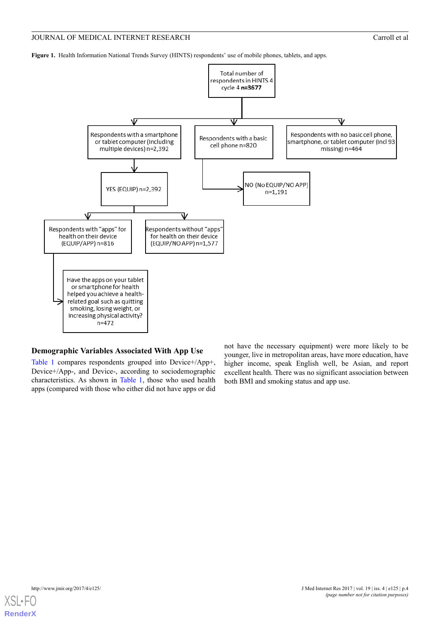#### JOURNAL OF MEDICAL INTERNET RESEARCH Carroll et al. Carroll et al.

<span id="page-3-0"></span>**Figure 1.** Health Information National Trends Survey (HINTS) respondents' use of mobile phones, tablets, and apps.



#### **Demographic Variables Associated With App Use**

[Table 1](#page-4-0) compares respondents grouped into Device+/App+, Device+/App-, and Device-, according to sociodemographic characteristics. As shown in [Table 1](#page-4-0), those who used health apps (compared with those who either did not have apps or did

not have the necessary equipment) were more likely to be younger, live in metropolitan areas, have more education, have higher income, speak English well, be Asian, and report excellent health. There was no significant association between both BMI and smoking status and app use.

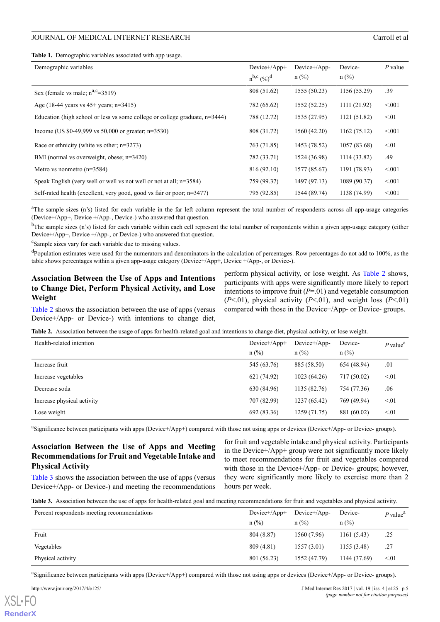<span id="page-4-0"></span>**Table 1.** Demographic variables associated with app usage.

| Demographic variables                                                          | Device+/App+<br>$n^{b,c} (%)^d$ | Device+/App-<br>$n$ (%) | Device-<br>$n$ (%) | $P$ value |
|--------------------------------------------------------------------------------|---------------------------------|-------------------------|--------------------|-----------|
| Sex (female vs male; $n^{a,c}=3519$ )                                          | 808 (51.62)                     | 1555 (50.23)            | 1156 (55.29)       | .39       |
| Age (18-44 years vs $45+$ years; n=3415)                                       | 782 (65.62)                     | 1552 (52.25)            | 1111(21.92)        | < 0.01    |
| Education (high school or less vs some college or college graduate, $n=3444$ ) | 788 (12.72)                     | 1535 (27.95)            | 1121 (51.82)       | < 01      |
| Income (US \$0-49,999 vs 50,000 or greater; $n=3530$ )                         | 808 (31.72)                     | 1560 (42.20)            | 1162(75.12)        | < 0.01    |
| Race or ethnicity (white vs other; $n=3273$ )                                  | 763 (71.85)                     | 1453 (78.52)            | 1057 (83.68)       | < 01      |
| BMI (normal vs overweight, obese; n=3420)                                      | 782 (33.71)                     | 1524 (36.98)            | 1114 (33.82)       | .49       |
| Metro vs nonmetro $(n=3584)$                                                   | 816 (92.10)                     | 1577 (85.67)            | 1191 (78.93)       | < 0.01    |
| Speak English (very well or well vs not well or not at all; $n=3584$ )         | 759 (99.37)                     | 1497 (97.13)            | 1089 (90.37)       | < 0.01    |
| Self-rated health (excellent, very good, good vs fair or poor; $n=3477$ )      | 795 (92.85)                     | 1544 (89.74)            | 1138 (74.99)       | < 0.01    |

<sup>a</sup>The sample sizes (n's) listed for each variable in the far left column represent the total number of respondents across all app-usage categories (Device+/App+, Device +/App-, Device-) who answered that question.

 $<sup>b</sup>$ The sample sizes (n's) listed for each variable within each cell represent the total number of respondents within a given app-usage category (either</sup> Device+/App+, Device +/App-, or Device-) who answered that question.

<sup>c</sup>Sample sizes vary for each variable due to missing values.

<sup>d</sup>Population estimates were used for the numerators and denominators in the calculation of percentages. Row percentages do not add to 100%, as the table shows percentages within a given app-usage category (Device+/App+, Device +/App-, or Device-).

## **Association Between the Use of Apps and Intentions to Change Diet, Perform Physical Activity, and Lose Weight**

<span id="page-4-1"></span>[Table 2](#page-4-1) shows the association between the use of apps (versus Device+/App- or Device-) with intentions to change diet,

perform physical activity, or lose weight. As [Table 2](#page-4-1) shows, participants with apps were significantly more likely to report intentions to improve fruit (*P*=.01) and vegetable consumption (*P*<.01), physical activity (*P*<.01), and weight loss (*P*<.01) compared with those in the Device+/App- or Device- groups.

**Table 2.** Association between the usage of apps for health-related goal and intentions to change diet, physical activity, or lose weight.

| Health-related intention   | $Device+/App+$<br>$n$ (%) | Device+/App-<br>$n$ (%) | Device-<br>$n$ (%) | $P$ value <sup>a</sup> |
|----------------------------|---------------------------|-------------------------|--------------------|------------------------|
| Increase fruit             | 545 (63.76)               | 885 (58.50)             | 654 (48.94)        | .01                    |
| Increase vegetables        | 621 (74.92)               | 1023(64.26)             | 717 (50.02)        | < 01                   |
| Decrease soda              | 630 (84.96)               | 1135 (82.76)            | 754 (77.36)        | .06                    |
| Increase physical activity | 707 (82.99)               | 1237 (65.42)            | 769 (49.94)        | < 01                   |
| Lose weight                | 692 (83.36)               | 1259 (71.75)            | 881 (60.02)        | < 01                   |

<sup>a</sup>Significance between participants with apps (Device+/App+) compared with those not using apps or devices (Device+/App- or Device- groups).

## <span id="page-4-2"></span>**Association Between the Use of Apps and Meeting Recommendations for Fruit and Vegetable Intake and Physical Activity**

[Table 3](#page-4-2) shows the association between the use of apps (versus Device+/App- or Device-) and meeting the recommendations

for fruit and vegetable intake and physical activity. Participants in the Device+/App+ group were not significantly more likely to meet recommendations for fruit and vegetables compared with those in the Device+/App- or Device- groups; however, they were significantly more likely to exercise more than 2 hours per week.

**Table 3.** Association between the use of apps for health-related goal and meeting recommendations for fruit and vegetables and physical activity.

| Percent respondents meeting recommendations | $Device+/App+$ | $Device+/App-$ | Device-      | $P$ value <sup>a</sup> |
|---------------------------------------------|----------------|----------------|--------------|------------------------|
|                                             | $n$ (%)        | $n$ (%)        | $n$ (%)      |                        |
| Fruit                                       | 804 (8.87)     | 1560 (7.96)    | 1161(5.43)   | .25                    |
| Vegetables                                  | 809 (4.81)     | 1557(3.01)     | 1155 (3.48)  | .27                    |
| Physical activity                           | 801 (56.23)    | 1552 (47.79)   | 1144 (37.69) | $\leq 01$              |

<sup>a</sup>Significance between participants with apps (Device+/App+) compared with those not using apps or devices (Device+/App- or Device- groups).

[XSL](http://www.w3.org/Style/XSL)•FO **[RenderX](http://www.renderx.com/)**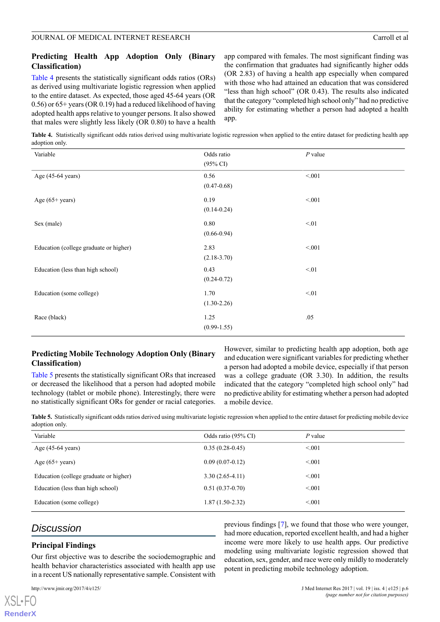# **Predicting Health App Adoption Only (Binary Classification)**

[Table 4](#page-5-0) presents the statistically significant odds ratios (ORs) as derived using multivariate logistic regression when applied to the entire dataset. As expected, those aged 45-64 years (OR 0.56) or 65+ years (OR 0.19) had a reduced likelihood of having adopted health apps relative to younger persons. It also showed that males were slightly less likely (OR 0.80) to have a health app compared with females. The most significant finding was the confirmation that graduates had significantly higher odds (OR 2.83) of having a health app especially when compared with those who had attained an education that was considered "less than high school" (OR 0.43). The results also indicated that the category "completed high school only" had no predictive ability for estimating whether a person had adopted a health app.

<span id="page-5-0"></span>**Table 4.** Statistically significant odds ratios derived using multivariate logistic regression when applied to the entire dataset for predicting health app adoption only.

| Variable                               | Odds ratio<br>$(95\% \text{ CI})$ | $P$ value |
|----------------------------------------|-----------------------------------|-----------|
| Age (45-64 years)                      | 0.56<br>$(0.47 - 0.68)$           | < 0.01    |
| Age $(65+years)$                       | 0.19<br>$(0.14 - 0.24)$           | < 0.01    |
| Sex (male)                             | 0.80<br>$(0.66 - 0.94)$           | < 01      |
| Education (college graduate or higher) | 2.83<br>$(2.18-3.70)$             | < 0.01    |
| Education (less than high school)      | 0.43<br>$(0.24 - 0.72)$           | < 01      |
| Education (some college)               | 1.70<br>$(1.30-2.26)$             | < 01      |
| Race (black)                           | 1.25<br>$(0.99-1.55)$             | .05       |

## **Predicting Mobile Technology Adoption Only (Binary Classification)**

<span id="page-5-1"></span>[Table 5](#page-5-1) presents the statistically significant ORs that increased or decreased the likelihood that a person had adopted mobile technology (tablet or mobile phone). Interestingly, there were no statistically significant ORs for gender or racial categories.

However, similar to predicting health app adoption, both age and education were significant variables for predicting whether a person had adopted a mobile device, especially if that person was a college graduate (OR 3.30). In addition, the results indicated that the category "completed high school only" had no predictive ability for estimating whether a person had adopted a mobile device.

**Table 5.** Statistically significant odds ratios derived using multivariate logistic regression when applied to the entire dataset for predicting mobile device adoption only.

| Variable                               | Odds ratio (95% CI) | P value |
|----------------------------------------|---------------------|---------|
| Age $(45-64 \text{ years})$            | $0.35(0.28-0.45)$   | < 0.01  |
| Age $(65+ \text{years})$               | $0.09(0.07-0.12)$   | < 0.01  |
| Education (college graduate or higher) | $3.30(2.65-4.11)$   | < 0.01  |
| Education (less than high school)      | $0.51(0.37-0.70)$   | < 0.01  |
| Education (some college)               | $1.87(1.50-2.32)$   | < 0.01  |

# *Discussion*

## **Principal Findings**

Our first objective was to describe the sociodemographic and health behavior characteristics associated with health app use in a recent US nationally representative sample. Consistent with

 $X$ SL•F $O$ **[RenderX](http://www.renderx.com/)** previous findings [[7\]](#page-7-6), we found that those who were younger, had more education, reported excellent health, and had a higher income were more likely to use health apps. Our predictive modeling using multivariate logistic regression showed that education, sex, gender, and race were only mildly to moderately potent in predicting mobile technology adoption.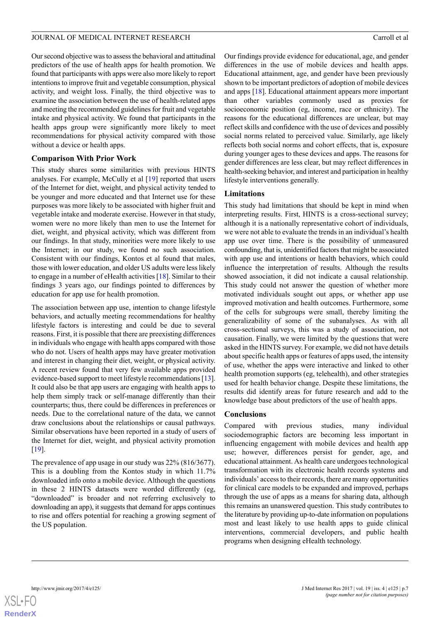Our second objective was to assess the behavioral and attitudinal predictors of the use of health apps for health promotion. We found that participants with apps were also more likely to report intentions to improve fruit and vegetable consumption, physical activity, and weight loss. Finally, the third objective was to examine the association between the use of health-related apps and meeting the recommended guidelines for fruit and vegetable intake and physical activity. We found that participants in the health apps group were significantly more likely to meet recommendations for physical activity compared with those without a device or health apps.

#### **Comparison With Prior Work**

This study shares some similarities with previous HINTS analyses. For example, McCully et al [\[19](#page-7-13)] reported that users of the Internet for diet, weight, and physical activity tended to be younger and more educated and that Internet use for these purposes was more likely to be associated with higher fruit and vegetable intake and moderate exercise. However in that study, women were no more likely than men to use the Internet for diet, weight, and physical activity, which was different from our findings. In that study, minorities were more likely to use the Internet; in our study, we found no such association. Consistent with our findings, Kontos et al found that males, those with lower education, and older US adults were less likely to engage in a number of eHealth activities [[18\]](#page-7-12). Similar to their findings 3 years ago, our findings pointed to differences by education for app use for health promotion.

The association between app use, intention to change lifestyle behaviors, and actually meeting recommendations for healthy lifestyle factors is interesting and could be due to several reasons. First, it is possible that there are preexisting differences in individuals who engage with health apps compared with those who do not. Users of health apps may have greater motivation and interest in changing their diet, weight, or physical activity. A recent review found that very few available apps provided evidence-based support to meet lifestyle recommendations [\[13\]](#page-7-10). It could also be that app users are engaging with health apps to help them simply track or self-manage differently than their counterparts; thus, there could be differences in preferences or needs. Due to the correlational nature of the data, we cannot draw conclusions about the relationships or causal pathways. Similar observations have been reported in a study of users of the Internet for diet, weight, and physical activity promotion [[19\]](#page-7-13).

The prevalence of app usage in our study was 22% (816/3677). This is a doubling from the Kontos study in which 11.7% downloaded info onto a mobile device. Although the questions in these 2 HINTS datasets were worded differently (eg, "downloaded" is broader and not referring exclusively to downloading an app), it suggests that demand for apps continues to rise and offers potential for reaching a growing segment of the US population.

Our findings provide evidence for educational, age, and gender differences in the use of mobile devices and health apps. Educational attainment, age, and gender have been previously shown to be important predictors of adoption of mobile devices and apps [[18\]](#page-7-12). Educational attainment appears more important than other variables commonly used as proxies for socioeconomic position (eg, income, race or ethnicity). The reasons for the educational differences are unclear, but may reflect skills and confidence with the use of devices and possibly social norms related to perceived value. Similarly, age likely reflects both social norms and cohort effects, that is, exposure during younger ages to these devices and apps. The reasons for gender differences are less clear, but may reflect differences in health-seeking behavior, and interest and participation in healthy lifestyle interventions generally.

## **Limitations**

This study had limitations that should be kept in mind when interpreting results. First, HINTS is a cross-sectional survey; although it is a nationally representative cohort of individuals, we were not able to evaluate the trends in an individual's health app use over time. There is the possibility of unmeasured confounding, that is, unidentified factors that might be associated with app use and intentions or health behaviors, which could influence the interpretation of results. Although the results showed association, it did not indicate a causal relationship. This study could not answer the question of whether more motivated individuals sought out apps, or whether app use improved motivation and health outcomes. Furthermore, some of the cells for subgroups were small, thereby limiting the generalizability of some of the subanalyses. As with all cross-sectional surveys, this was a study of association, not causation. Finally, we were limited by the questions that were asked in the HINTS survey. For example, we did not have details about specific health apps or features of apps used, the intensity of use, whether the apps were interactive and linked to other health promotion supports (eg, telehealth), and other strategies used for health behavior change. Despite these limitations, the results did identify areas for future research and add to the knowledge base about predictors of the use of health apps.

## **Conclusions**

Compared with previous studies, many individual sociodemographic factors are becoming less important in influencing engagement with mobile devices and health app use; however, differences persist for gender, age, and educational attainment. As health care undergoes technological transformation with its electronic health records systems and individuals' access to their records, there are many opportunities for clinical care models to be expanded and improved, perhaps through the use of apps as a means for sharing data, although this remains an unanswered question. This study contributes to the literature by providing up-to-date information on populations most and least likely to use health apps to guide clinical interventions, commercial developers, and public health programs when designing eHealth technology.

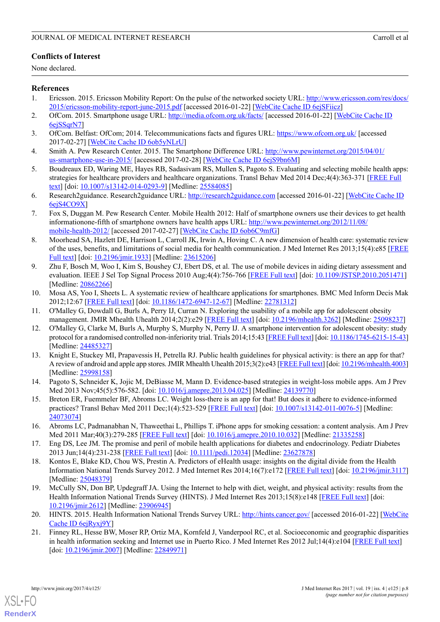# **Conflicts of Interest**

None declared.

## <span id="page-7-0"></span>**References**

- <span id="page-7-1"></span>1. Ericsson. 2015. Ericsson Mobility Report: On the pulse of the networked society URL: [http://www.ericsson.com/res/docs/](http://www.ericsson.com/res/docs/2015/ericsson-mobility-report-june-2015.pdf) [2015/ericsson-mobility-report-june-2015.pdf](http://www.ericsson.com/res/docs/2015/ericsson-mobility-report-june-2015.pdf) [accessed 2016-01-22] [\[WebCite Cache ID 6ejSFiicz\]](http://www.webcitation.org/6ejSFiicz)
- <span id="page-7-2"></span>2. OfCom. 2015. Smartphone usage URL: <http://media.ofcom.org.uk/facts/> [accessed 2016-01-22] [[WebCite Cache ID](http://www.webcitation.org/6ejSSqrN7) [6ejSSqrN7](http://www.webcitation.org/6ejSSqrN7)]
- <span id="page-7-3"></span>3. OfCom. Belfast: OfCom; 2014. Telecommunications facts and figures URL: <https://www.ofcom.org.uk/> [accessed 2017-02-27] [\[WebCite Cache ID 6ob5yNLrU\]](http://www.webcitation.org/6ob5yNLrU)
- <span id="page-7-4"></span>4. Smith A. Pew Research Center. 2015. The Smartphone Difference URL: [http://www.pewinternet.org/2015/04/01/](http://www.pewinternet.org/2015/04/01/us-smartphone-use-in-2015/) [us-smartphone-use-in-2015/](http://www.pewinternet.org/2015/04/01/us-smartphone-use-in-2015/) [accessed 2017-02-28] [\[WebCite Cache ID 6ejS9bn6M\]](http://www.webcitation.org/6ejS9bn6M)
- <span id="page-7-5"></span>5. Boudreaux ED, Waring ME, Hayes RB, Sadasivam RS, Mullen S, Pagoto S. Evaluating and selecting mobile health apps: strategies for healthcare providers and healthcare organizations. Transl Behav Med 2014 Dec;4(4):363-371 [\[FREE Full](http://europepmc.org/abstract/MED/25584085) [text\]](http://europepmc.org/abstract/MED/25584085) [doi: [10.1007/s13142-014-0293-9\]](http://dx.doi.org/10.1007/s13142-014-0293-9) [Medline: [25584085\]](http://www.ncbi.nlm.nih.gov/entrez/query.fcgi?cmd=Retrieve&db=PubMed&list_uids=25584085&dopt=Abstract)
- <span id="page-7-6"></span>6. Research2guidance. Research2guidance URL: <http://research2guidance.com> [accessed 2016-01-22] [[WebCite Cache ID](http://www.webcitation.org/6ejS4CO9X) [6ejS4CO9X](http://www.webcitation.org/6ejS4CO9X)]
- <span id="page-7-7"></span>7. Fox S, Duggan M. Pew Research Center. Mobile Health 2012: Half of smartphone owners use their devices to get health informationone-fifth of smartphone owners have health apps URL: [http://www.pewinternet.org/2012/11/08/](http://www.pewinternet.org/2012/11/08/mobile-health-2012/) [mobile-health-2012/](http://www.pewinternet.org/2012/11/08/mobile-health-2012/) [accessed 2017-02-27] [\[WebCite Cache ID 6ob6C9mfG\]](http://www.webcitation.org/6ob6C9mfG)
- <span id="page-7-8"></span>8. Moorhead SA, Hazlett DE, Harrison L, Carroll JK, Irwin A, Hoving C. A new dimension of health care: systematic review of the uses, benefits, and limitations of social media for health communication. J Med Internet Res 2013;15(4):e85 [\[FREE](http://www.jmir.org/2013/4/e85/) [Full text](http://www.jmir.org/2013/4/e85/)] [doi: [10.2196/jmir.1933](http://dx.doi.org/10.2196/jmir.1933)] [Medline: [23615206\]](http://www.ncbi.nlm.nih.gov/entrez/query.fcgi?cmd=Retrieve&db=PubMed&list_uids=23615206&dopt=Abstract)
- 9. Zhu F, Bosch M, Woo I, Kim S, Boushey CJ, Ebert DS, et al. The use of mobile devices in aiding dietary assessment and evaluation. IEEE J Sel Top Signal Process 2010 Aug;4(4):756-766 [[FREE Full text](http://europepmc.org/abstract/MED/20862266)] [doi: [10.1109/JSTSP.2010.2051471](http://dx.doi.org/10.1109/JSTSP.2010.2051471)] [Medline: [20862266](http://www.ncbi.nlm.nih.gov/entrez/query.fcgi?cmd=Retrieve&db=PubMed&list_uids=20862266&dopt=Abstract)]
- <span id="page-7-9"></span>10. Mosa AS, Yoo I, Sheets L. A systematic review of healthcare applications for smartphones. BMC Med Inform Decis Mak 2012;12:67 [[FREE Full text](http://www.biomedcentral.com/1472-6947/12/67)] [doi: [10.1186/1472-6947-12-67](http://dx.doi.org/10.1186/1472-6947-12-67)] [Medline: [22781312](http://www.ncbi.nlm.nih.gov/entrez/query.fcgi?cmd=Retrieve&db=PubMed&list_uids=22781312&dopt=Abstract)]
- 11. O'Malley G, Dowdall G, Burls A, Perry IJ, Curran N. Exploring the usability of a mobile app for adolescent obesity management. JMIR Mhealth Uhealth 2014;2(2):e29 [\[FREE Full text\]](http://mhealth.jmir.org/2014/2/e29/) [doi: [10.2196/mhealth.3262\]](http://dx.doi.org/10.2196/mhealth.3262) [Medline: [25098237\]](http://www.ncbi.nlm.nih.gov/entrez/query.fcgi?cmd=Retrieve&db=PubMed&list_uids=25098237&dopt=Abstract)
- <span id="page-7-10"></span>12. O'Malley G, Clarke M, Burls A, Murphy S, Murphy N, Perry IJ. A smartphone intervention for adolescent obesity: study protocol for a randomised controlled non-inferiority trial. Trials 2014;15:43 [\[FREE Full text](http://www.trialsjournal.com/content/15//43)] [doi: [10.1186/1745-6215-15-43\]](http://dx.doi.org/10.1186/1745-6215-15-43) [Medline: [24485327](http://www.ncbi.nlm.nih.gov/entrez/query.fcgi?cmd=Retrieve&db=PubMed&list_uids=24485327&dopt=Abstract)]
- 13. Knight E, Stuckey MI, Prapavessis H, Petrella RJ. Public health guidelines for physical activity: is there an app for that? A review of android and apple app stores. JMIR Mhealth Uhealth 2015;3(2):e43 [[FREE Full text](http://mhealth.jmir.org/2015/2/e43/)] [doi: [10.2196/mhealth.4003\]](http://dx.doi.org/10.2196/mhealth.4003) [Medline: [25998158](http://www.ncbi.nlm.nih.gov/entrez/query.fcgi?cmd=Retrieve&db=PubMed&list_uids=25998158&dopt=Abstract)]
- 14. Pagoto S, Schneider K, Jojic M, DeBiasse M, Mann D. Evidence-based strategies in weight-loss mobile apps. Am J Prev Med 2013 Nov; 45(5): 576-582. [doi: [10.1016/j.amepre.2013.04.025](http://dx.doi.org/10.1016/j.amepre.2013.04.025)] [Medline: [24139770](http://www.ncbi.nlm.nih.gov/entrez/query.fcgi?cmd=Retrieve&db=PubMed&list_uids=24139770&dopt=Abstract)]
- <span id="page-7-11"></span>15. Breton ER, Fuemmeler BF, Abroms LC. Weight loss-there is an app for that! But does it adhere to evidence-informed practices? Transl Behav Med 2011 Dec;1(4):523-529 [\[FREE Full text\]](http://europepmc.org/abstract/MED/24073074) [doi: [10.1007/s13142-011-0076-5](http://dx.doi.org/10.1007/s13142-011-0076-5)] [Medline: [24073074](http://www.ncbi.nlm.nih.gov/entrez/query.fcgi?cmd=Retrieve&db=PubMed&list_uids=24073074&dopt=Abstract)]
- <span id="page-7-12"></span>16. Abroms LC, Padmanabhan N, Thaweethai L, Phillips T. iPhone apps for smoking cessation: a content analysis. Am J Prev Med 2011 Mar;40(3):279-285 [\[FREE Full text\]](http://europepmc.org/abstract/MED/21335258) [doi: [10.1016/j.amepre.2010.10.032\]](http://dx.doi.org/10.1016/j.amepre.2010.10.032) [Medline: [21335258](http://www.ncbi.nlm.nih.gov/entrez/query.fcgi?cmd=Retrieve&db=PubMed&list_uids=21335258&dopt=Abstract)]
- <span id="page-7-13"></span>17. Eng DS, Lee JM. The promise and peril of mobile health applications for diabetes and endocrinology. Pediatr Diabetes 2013 Jun;14(4):231-238 [\[FREE Full text\]](http://europepmc.org/abstract/MED/23627878) [doi: [10.1111/pedi.12034\]](http://dx.doi.org/10.1111/pedi.12034) [Medline: [23627878\]](http://www.ncbi.nlm.nih.gov/entrez/query.fcgi?cmd=Retrieve&db=PubMed&list_uids=23627878&dopt=Abstract)
- <span id="page-7-14"></span>18. Kontos E, Blake KD, Chou WS, Prestin A. Predictors of eHealth usage: insights on the digital divide from the Health Information National Trends Survey 2012. J Med Internet Res 2014;16(7):e172 [[FREE Full text\]](http://www.jmir.org/2014/7/e172/) [doi: [10.2196/jmir.3117](http://dx.doi.org/10.2196/jmir.3117)] [Medline: [25048379](http://www.ncbi.nlm.nih.gov/entrez/query.fcgi?cmd=Retrieve&db=PubMed&list_uids=25048379&dopt=Abstract)]
- <span id="page-7-15"></span>19. McCully SN, Don BP, Updegraff JA. Using the Internet to help with diet, weight, and physical activity: results from the Health Information National Trends Survey (HINTS). J Med Internet Res 2013;15(8):e148 [\[FREE Full text\]](http://www.jmir.org/2013/8/e148/) [doi: [10.2196/jmir.2612](http://dx.doi.org/10.2196/jmir.2612)] [Medline: [23906945](http://www.ncbi.nlm.nih.gov/entrez/query.fcgi?cmd=Retrieve&db=PubMed&list_uids=23906945&dopt=Abstract)]
- 20. HINTS. 2015. Health Information National Trends Survey URL: <http://hints.cancer.gov/> [accessed 2016-01-22] [\[WebCite](http://www.webcitation.org/6ejRyxj9Y) [Cache ID 6ejRyxj9Y](http://www.webcitation.org/6ejRyxj9Y)]
- 21. Finney RL, Hesse BW, Moser RP, Ortiz MA, Kornfeld J, Vanderpool RC, et al. Socioeconomic and geographic disparities in health information seeking and Internet use in Puerto Rico. J Med Internet Res 2012 Jul;14(4):e104 [\[FREE Full text\]](http://www.jmir.org/2012/4/e104/) [doi: [10.2196/jmir.2007\]](http://dx.doi.org/10.2196/jmir.2007) [Medline: [22849971\]](http://www.ncbi.nlm.nih.gov/entrez/query.fcgi?cmd=Retrieve&db=PubMed&list_uids=22849971&dopt=Abstract)



[XSL](http://www.w3.org/Style/XSL)•FO **[RenderX](http://www.renderx.com/)**